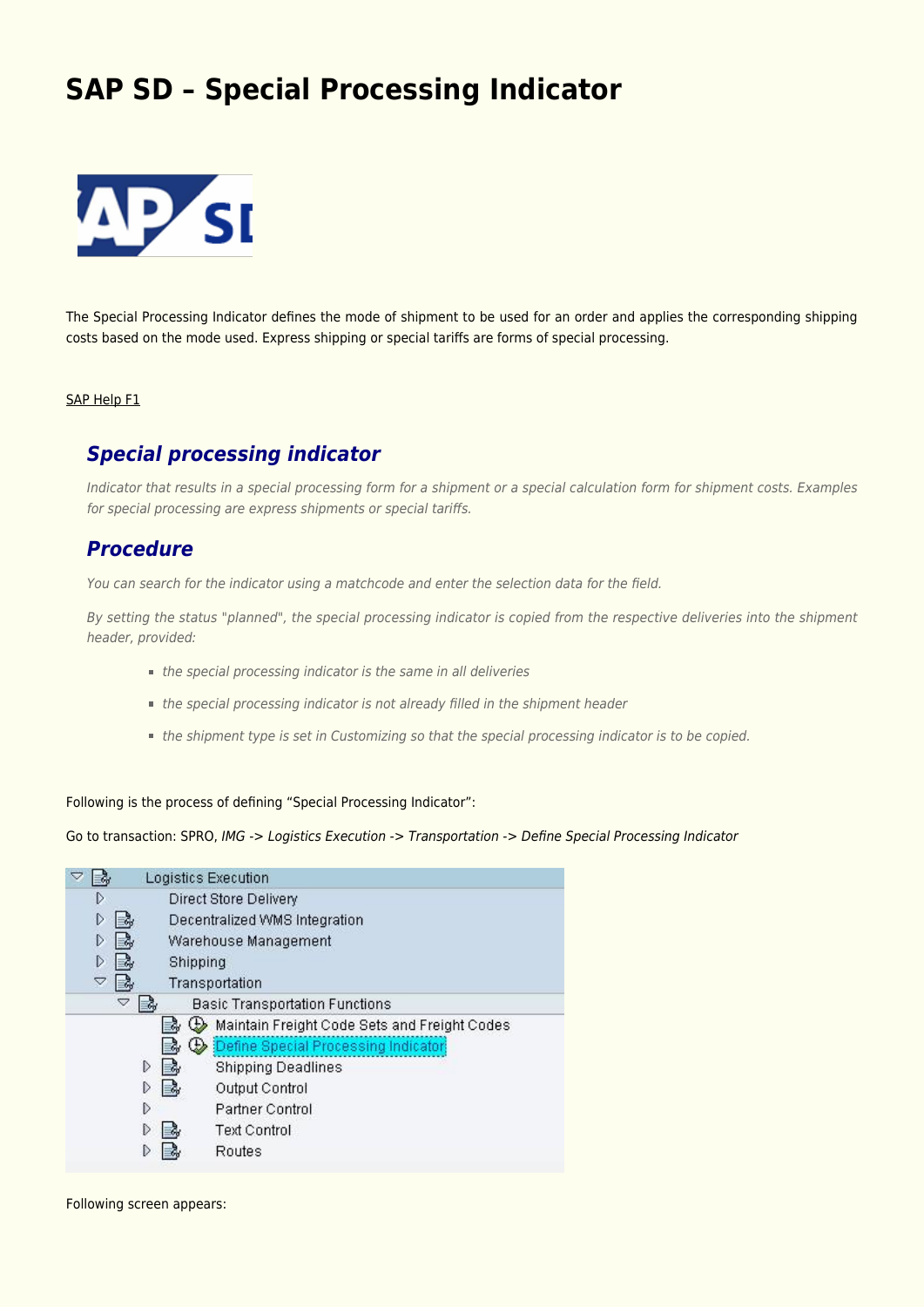# **[SAP SD – Special Processing Indicator](https://marchukan.com/sap-sd-special-processing-indicator/)**



The Special Processing Indicator defines the mode of shipment to be used for an order and applies the corresponding shipping costs based on the mode used. Express shipping or special tariffs are forms of special processing.

#### SAP Help F1

## *Special processing indicator*

Indicator that results in a special processing form for a shipment or a special calculation form for shipment costs. Examples for special processing are express shipments or special tariffs.

### *Procedure*

You can search for the indicator using a matchcode and enter the selection data for the field.

By setting the status "planned", the special processing indicator is copied from the respective deliveries into the shipment header, provided:

- the special processing indicator is the same in all deliveries
- the special processing indicator is not already filled in the shipment header
- the shipment type is set in Customizing so that the special processing indicator is to be copied.

#### Following is the process of defining "Special Processing Indicator":

Go to transaction: SPRO, IMG -> Logistics Execution -> Transportation -> Define Special Processing Indicator

|                    | Logistics Execution                          |
|--------------------|----------------------------------------------|
| D                  | Direct Store Delivery                        |
| D                  | Decentralized WMS Integration                |
| D                  | Warehouse Management                         |
| D                  | Shipping                                     |
| $\bigtriangledown$ | Transportation                               |
| ▽                  | <b>Basic Transportation Functions</b>        |
|                    | Maintain Freight Code Sets and Freight Codes |
|                    | Define Special Processing Indicator<br>₩     |
|                    | D<br><b>Shipping Deadlines</b>               |
|                    | Output Control                               |
|                    | Partner Control<br>D                         |
|                    | <b>Text Control</b>                          |
|                    | Routes                                       |

Following screen appears: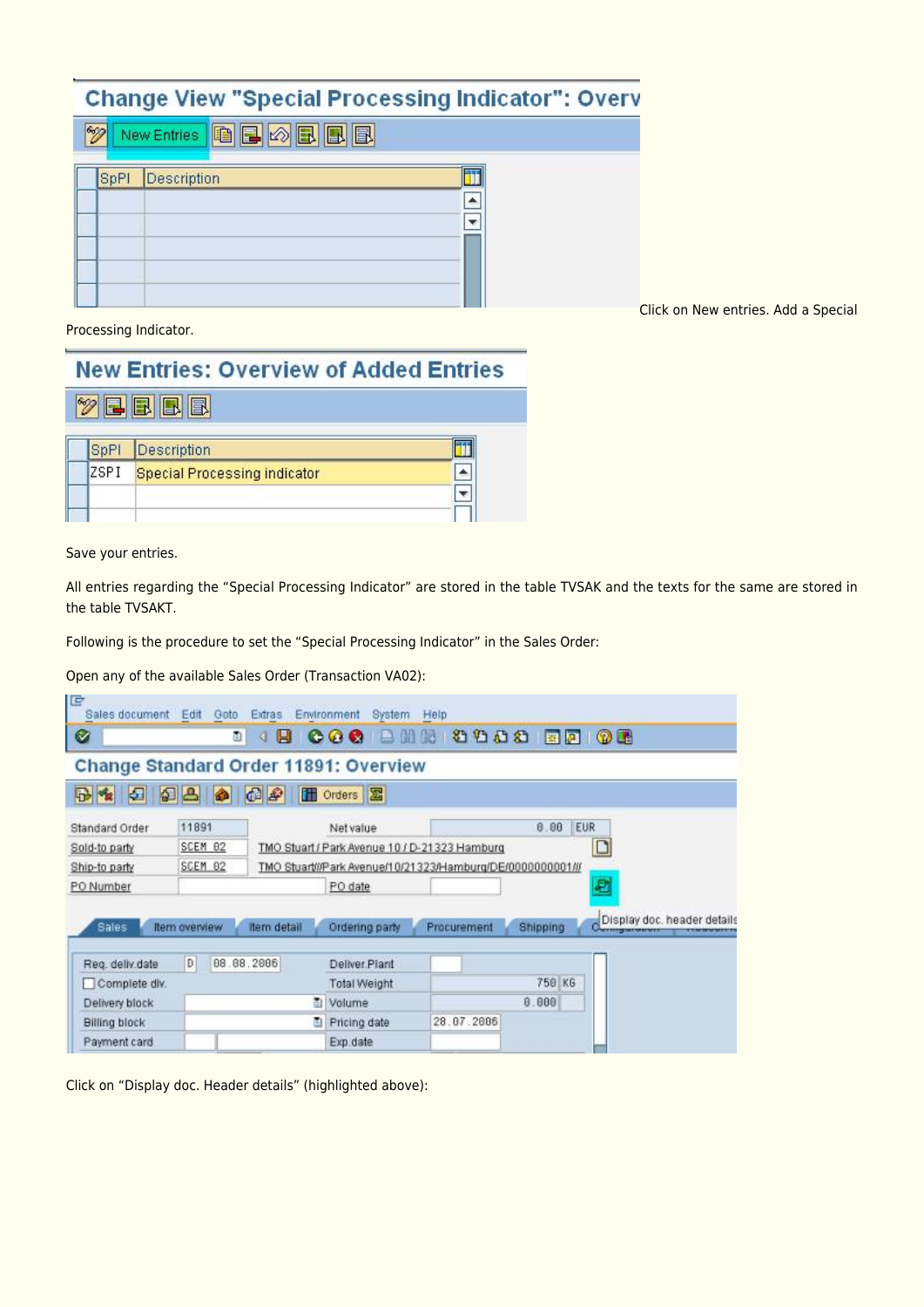## **Change View "Special Processing Indicator": Overv**

|  |      |             | New Entries <b>&amp; B B B B</b> |  |
|--|------|-------------|----------------------------------|--|
|  | SpPI | Description |                                  |  |
|  |      |             |                                  |  |
|  |      |             |                                  |  |
|  |      |             |                                  |  |

Click on New entries. Add a Special

Processing Indicator.

|      | <b>New Entries: Overview of Added Entries</b> |  |
|------|-----------------------------------------------|--|
|      | BBBB                                          |  |
| SpPI | Description                                   |  |
| ZSPI | <b>Special Processing indicator</b>           |  |
|      |                                               |  |

Save your entries.

All entries regarding the "Special Processing Indicator" are stored in the table TVSAK and the texts for the same are stored in the table TVSAKT.

Following is the procedure to set the "Special Processing Indicator" in the Sales Order:

Open any of the available Sales Order (Transaction VA02):

| lg                                           |               | Sales document Edit Goto Extras Environment | System Help     |                                                            |                 |                             |
|----------------------------------------------|---------------|---------------------------------------------|-----------------|------------------------------------------------------------|-----------------|-----------------------------|
| $\bullet$                                    | ū)            | В<br>o<br>a                                 | 日間<br><b>OB</b> | 假                                                          |                 |                             |
| <b>Change Standard Order 11891: Overview</b> |               |                                             |                 |                                                            |                 |                             |
| 田生<br>囡                                      | 日日<br>♠       | $\bigcirc$                                  | <b>图 Orders</b> |                                                            |                 |                             |
| Standard Order                               | 11891         |                                             | Net value       |                                                            | 0.00            | <b>EUR</b>                  |
| Sold-to party                                | SCEM 02       |                                             |                 | TMO Stuart / Park Avenue 10 / D-21323 Hamburg              |                 |                             |
| Ship-to party                                | SCEM 02       |                                             |                 | TMO Stuart///Park Avenue/10/21323/Hamburg/DE/0000000001/// |                 |                             |
| PO Number                                    |               |                                             | PO date         |                                                            |                 | ₽                           |
| Sales                                        | Item overview | Item detail                                 | Ordering party  | Procurement                                                | <b>Shipping</b> | Display doc, header details |
| Reg. deliv.date                              | D             | 08.08.2006                                  | Deliver Plant   |                                                            |                 |                             |
| Complete dlv.                                |               |                                             | Total Weight    |                                                            | 750 KG          |                             |
| Delivery block                               |               | 面                                           | Volume          |                                                            | 8.000           |                             |
| <b>Billing block</b>                         |               |                                             | Pricing date    | 28.07.2006                                                 |                 |                             |
| Payment card                                 |               |                                             | Exp.date        |                                                            |                 |                             |

Click on "Display doc. Header details" (highlighted above):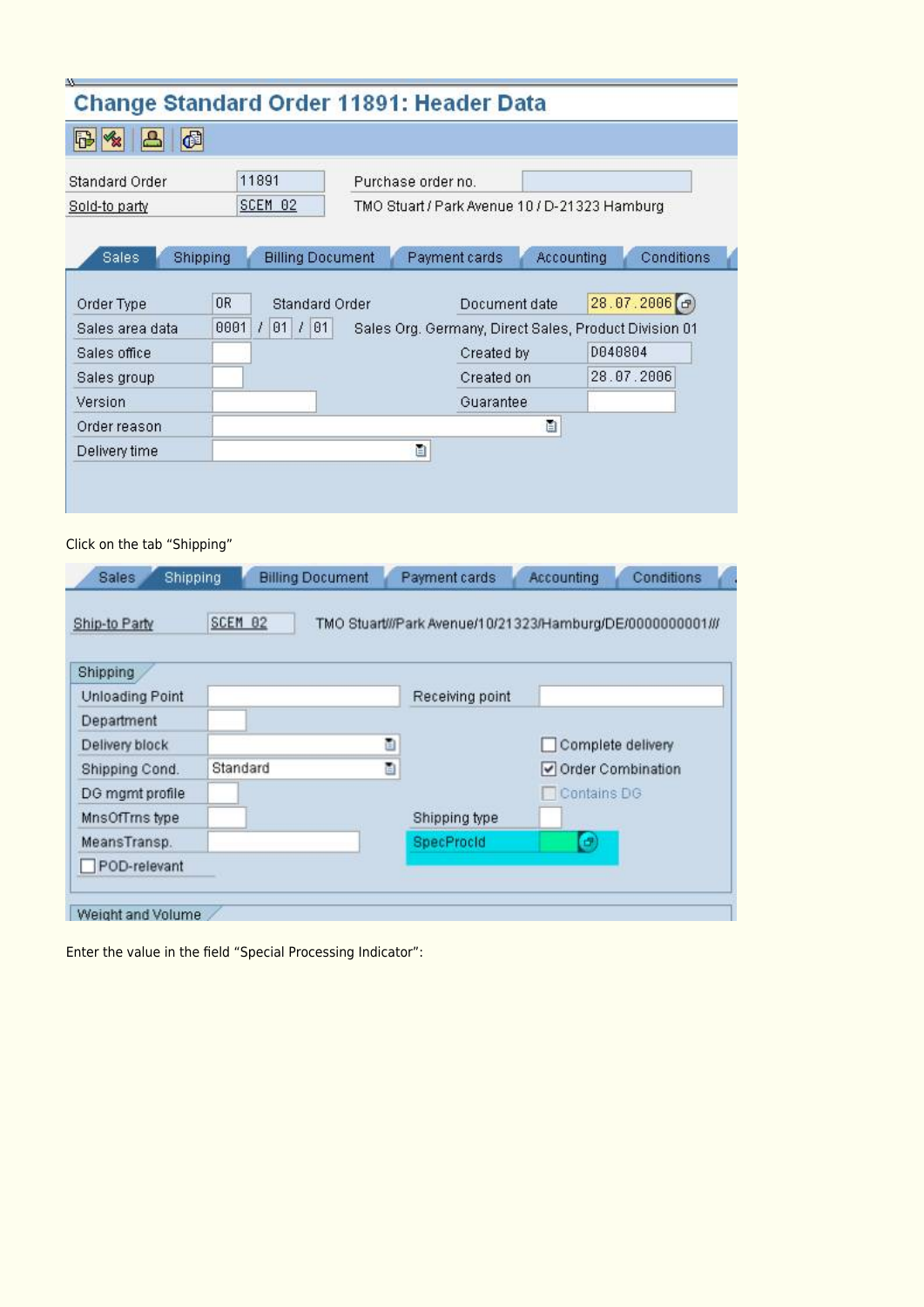|                       | <b>Change Standard Order 11891: Header Data</b> |                                                       |            |         |                |
|-----------------------|-------------------------------------------------|-------------------------------------------------------|------------|---------|----------------|
| đ<br>B                |                                                 |                                                       |            |         |                |
| <b>Standard Order</b> | 11891                                           | Purchase order no.                                    |            |         |                |
| Sold-to party         | <b>SCEM 02</b>                                  | TMO Stuart / Park Avenue 10 / D-21323 Hamburg         |            |         |                |
|                       |                                                 |                                                       |            |         |                |
| <b>Sales</b>          | Shipping<br><b>Billing Document</b>             | Payment cards                                         | Accounting |         | Conditions     |
| Order Type            | 0R<br><b>Standard Order</b>                     | Document date                                         |            |         | 28.07.2006 (d) |
| Sales area data       | 0001<br>$1$ 01 $1$ 01                           | Sales Org. Germany, Direct Sales, Product Division 01 |            |         |                |
| Sales office          |                                                 | Created by                                            |            | D040804 |                |
| Sales group           |                                                 | Created on                                            |            |         | 28.07.2006     |
| Version               |                                                 | Guarantee                                             |            |         |                |
| Order reason          |                                                 |                                                       | ð          |         |                |
|                       |                                                 | ū                                                     |            |         |                |

#### Click on the tab "Shipping"

w

| Ship-to Party          | SCEM 82       |                   | TMO Stuart///Park Avenue/10/21323/Hamburg/DE/0000000001/// |
|------------------------|---------------|-------------------|------------------------------------------------------------|
| Shipping               |               |                   |                                                            |
| <b>Unloading Point</b> |               | Receiving point   |                                                            |
| Department             |               |                   |                                                            |
| Delivery block         | ū             |                   | Complete delivery                                          |
| Shipping Cond.         | Ò<br>Standard |                   | Order Combination                                          |
| DG mgmt profile        |               |                   | Contains DG                                                |
| MnsOfTms type          |               | Shipping type     |                                                            |
| MeansTransp.           |               | <b>SpecProcid</b> | e                                                          |
| POD-relevant           |               |                   |                                                            |

Enter the value in the field "Special Processing Indicator":